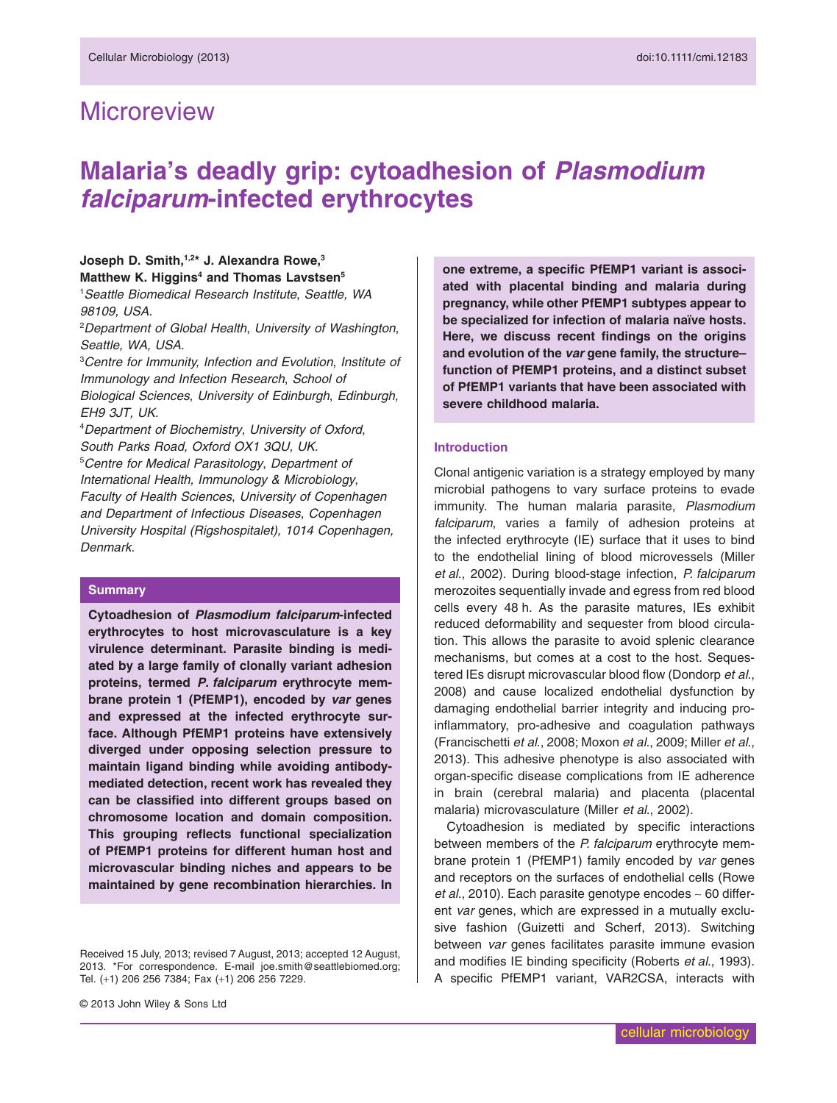# **Microreview**

# **Malaria's deadly grip: cytoadhesion of** *Plasmodium falciparum***-infected erythrocytes**

# Joseph D. Smith,<sup>1,2\*</sup> J. Alexandra Rowe,<sup>3</sup> Matthew K. Higgins<sup>4</sup> and Thomas Lavstsen<sup>5</sup>

1 *Seattle Biomedical Research Institute*, *Seattle, WA 98109, USA.*

2 *Department of Global Health*, *University of Washington*, *Seattle, WA, USA.*

3 *Centre for Immunity, Infection and Evolution*, *Institute of Immunology and Infection Research*, *School of Biological Sciences*, *University of Edinburgh*, *Edinburgh, EH9 3JT, UK.*

4 *Department of Biochemistry*, *University of Oxford*, *South Parks Road, Oxford OX1 3QU, UK.* 5 *Centre for Medical Parasitology*, *Department of International Health, Immunology & Microbiology*, *Faculty of Health Sciences*, *University of Copenhagen and Department of Infectious Diseases*, *Copenhagen University Hospital (Rigshospitalet), 1014 Copenhagen, Denmark.*

### **Summary**

**Cytoadhesion of** *Plasmodium falciparum***-infected erythrocytes to host microvasculature is a key virulence determinant. Parasite binding is mediated by a large family of clonally variant adhesion proteins, termed** *P. falciparum* **erythrocyte membrane protein 1 (PfEMP1), encoded by** *var* **genes and expressed at the infected erythrocyte surface. Although PfEMP1 proteins have extensively diverged under opposing selection pressure to maintain ligand binding while avoiding antibodymediated detection, recent work has revealed they can be classified into different groups based on chromosome location and domain composition. This grouping reflects functional specialization of PfEMP1 proteins for different human host and microvascular binding niches and appears to be maintained by gene recombination hierarchies. In** **one extreme, a specific PfEMP1 variant is associated with placental binding and malaria during pregnancy, while other PfEMP1 subtypes appear to be specialized for infection of malaria naïve hosts. Here, we discuss recent findings on the origins and evolution of the** *var* **gene family, the structure– function of PfEMP1 proteins, and a distinct subset of PfEMP1 variants that have been associated with severe childhood malaria.**

#### **Introduction**

Clonal antigenic variation is a strategy employed by many microbial pathogens to vary surface proteins to evade immunity. The human malaria parasite, *Plasmodium falciparum*, varies a family of adhesion proteins at the infected erythrocyte (IE) surface that it uses to bind to the endothelial lining of blood microvessels (Miller *et al*., 2002). During blood-stage infection, *P. falciparum* merozoites sequentially invade and egress from red blood cells every 48 h. As the parasite matures, IEs exhibit reduced deformability and sequester from blood circulation. This allows the parasite to avoid splenic clearance mechanisms, but comes at a cost to the host. Sequestered IEs disrupt microvascular blood flow (Dondorp *et al*., 2008) and cause localized endothelial dysfunction by damaging endothelial barrier integrity and inducing proinflammatory, pro-adhesive and coagulation pathways (Francischetti *et al*., 2008; Moxon *et al*., 2009; Miller *et al*., 2013). This adhesive phenotype is also associated with organ-specific disease complications from IE adherence in brain (cerebral malaria) and placenta (placental malaria) microvasculature (Miller *et al*., 2002).

Cytoadhesion is mediated by specific interactions between members of the *P. falciparum* erythrocyte membrane protein 1 (PfEMP1) family encoded by *var* genes and receptors on the surfaces of endothelial cells (Rowe *et al*., 2010). Each parasite genotype encodes ∼ 60 different *var* genes, which are expressed in a mutually exclusive fashion (Guizetti and Scherf, 2013). Switching between *var* genes facilitates parasite immune evasion and modifies IE binding specificity (Roberts *et al*., 1993). A specific PfEMP1 variant, VAR2CSA, interacts with

Received 15 July, 2013; revised 7 August, 2013; accepted 12 August, 2013. \*For correspondence. E-mail [joe.smith@seattlebiomed.org;](mailto:joe.smith@seattlebiomed.org) Tel. (+1) 206 256 7384; Fax (+1) 206 256 7229.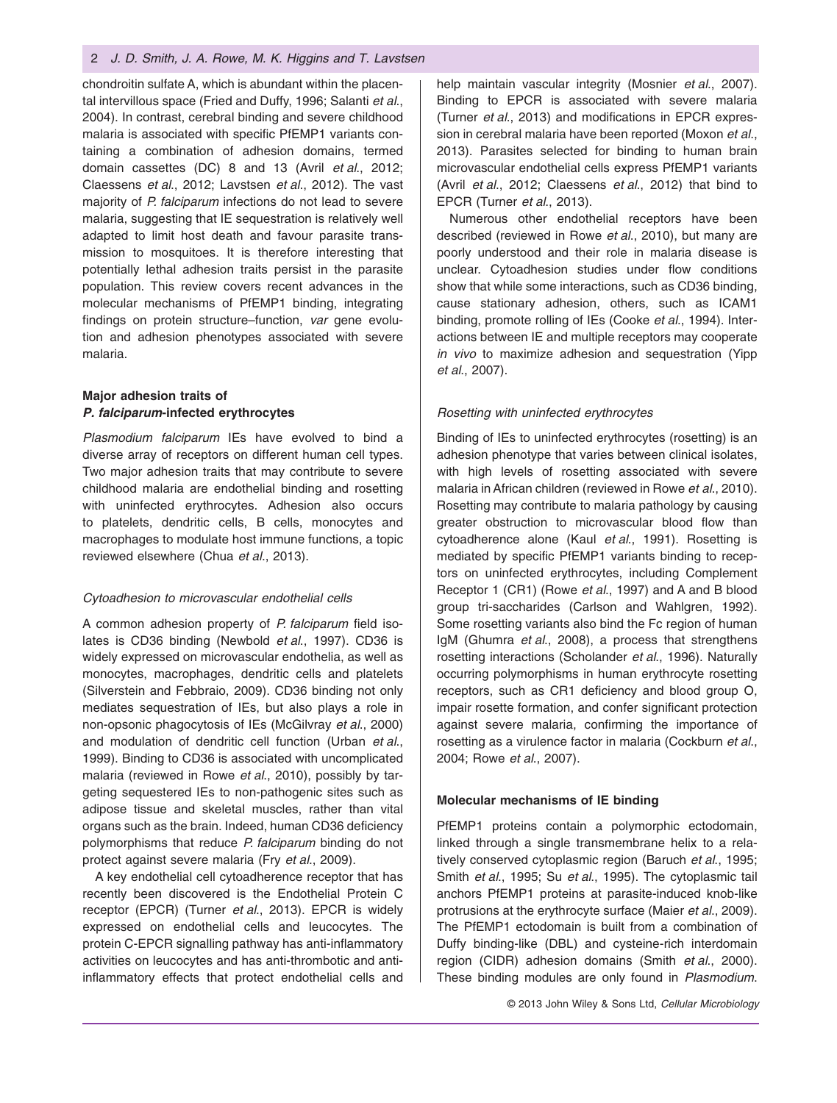#### 2 *J. D. Smith, J. A. Rowe, M. K. Higgins and T. Lavstsen*

chondroitin sulfate A, which is abundant within the placental intervillous space (Fried and Duffy, 1996; Salanti *et al*., 2004). In contrast, cerebral binding and severe childhood malaria is associated with specific PfEMP1 variants containing a combination of adhesion domains, termed domain cassettes (DC) 8 and 13 (Avril *et al*., 2012; Claessens *et al*., 2012; Lavstsen *et al*., 2012). The vast majority of *P. falciparum* infections do not lead to severe malaria, suggesting that IE sequestration is relatively well adapted to limit host death and favour parasite transmission to mosquitoes. It is therefore interesting that potentially lethal adhesion traits persist in the parasite population. This review covers recent advances in the molecular mechanisms of PfEMP1 binding, integrating findings on protein structure–function, *var* gene evolution and adhesion phenotypes associated with severe malaria.

# **Major adhesion traits of** *P. falciparum***-infected erythrocytes**

*Plasmodium falciparum* IEs have evolved to bind a diverse array of receptors on different human cell types. Two major adhesion traits that may contribute to severe childhood malaria are endothelial binding and rosetting with uninfected erythrocytes. Adhesion also occurs to platelets, dendritic cells, B cells, monocytes and macrophages to modulate host immune functions, a topic reviewed elsewhere (Chua *et al*., 2013).

### *Cytoadhesion to microvascular endothelial cells*

A common adhesion property of *P. falciparum* field isolates is CD36 binding (Newbold *et al*., 1997). CD36 is widely expressed on microvascular endothelia, as well as monocytes, macrophages, dendritic cells and platelets (Silverstein and Febbraio, 2009). CD36 binding not only mediates sequestration of IEs, but also plays a role in non-opsonic phagocytosis of IEs (McGilvray *et al*., 2000) and modulation of dendritic cell function (Urban *et al*., 1999). Binding to CD36 is associated with uncomplicated malaria (reviewed in Rowe *et al*., 2010), possibly by targeting sequestered IEs to non-pathogenic sites such as adipose tissue and skeletal muscles, rather than vital organs such as the brain. Indeed, human CD36 deficiency polymorphisms that reduce *P. falciparum* binding do not protect against severe malaria (Fry *et al*., 2009).

A key endothelial cell cytoadherence receptor that has recently been discovered is the Endothelial Protein C receptor (EPCR) (Turner *et al*., 2013). EPCR is widely expressed on endothelial cells and leucocytes. The protein C-EPCR signalling pathway has anti-inflammatory activities on leucocytes and has anti-thrombotic and antiinflammatory effects that protect endothelial cells and

help maintain vascular integrity (Mosnier *et al*., 2007). Binding to EPCR is associated with severe malaria (Turner *et al*., 2013) and modifications in EPCR expression in cerebral malaria have been reported (Moxon *et al*., 2013). Parasites selected for binding to human brain microvascular endothelial cells express PfEMP1 variants (Avril *et al*., 2012; Claessens *et al*., 2012) that bind to EPCR (Turner *et al*., 2013).

Numerous other endothelial receptors have been described (reviewed in Rowe *et al*., 2010), but many are poorly understood and their role in malaria disease is unclear. Cytoadhesion studies under flow conditions show that while some interactions, such as CD36 binding, cause stationary adhesion, others, such as ICAM1 binding, promote rolling of IEs (Cooke *et al*., 1994). Interactions between IE and multiple receptors may cooperate *in vivo* to maximize adhesion and sequestration (Yipp *et al*., 2007).

#### *Rosetting with uninfected erythrocytes*

Binding of IEs to uninfected erythrocytes (rosetting) is an adhesion phenotype that varies between clinical isolates, with high levels of rosetting associated with severe malaria in African children (reviewed in Rowe *et al*., 2010). Rosetting may contribute to malaria pathology by causing greater obstruction to microvascular blood flow than cytoadherence alone (Kaul *et al*., 1991). Rosetting is mediated by specific PfEMP1 variants binding to receptors on uninfected erythrocytes, including Complement Receptor 1 (CR1) (Rowe *et al*., 1997) and A and B blood group tri-saccharides (Carlson and Wahlgren, 1992). Some rosetting variants also bind the Fc region of human IgM (Ghumra *et al*., 2008), a process that strengthens rosetting interactions (Scholander *et al*., 1996). Naturally occurring polymorphisms in human erythrocyte rosetting receptors, such as CR1 deficiency and blood group O, impair rosette formation, and confer significant protection against severe malaria, confirming the importance of rosetting as a virulence factor in malaria (Cockburn *et al*., 2004; Rowe *et al*., 2007).

#### **Molecular mechanisms of IE binding**

PfEMP1 proteins contain a polymorphic ectodomain, linked through a single transmembrane helix to a relatively conserved cytoplasmic region (Baruch *et al*., 1995; Smith *et al*., 1995; Su *et al*., 1995). The cytoplasmic tail anchors PfEMP1 proteins at parasite-induced knob-like protrusions at the erythrocyte surface (Maier *et al*., 2009). The PfEMP1 ectodomain is built from a combination of Duffy binding-like (DBL) and cysteine-rich interdomain region (CIDR) adhesion domains (Smith *et al*., 2000). These binding modules are only found in *Plasmodium*.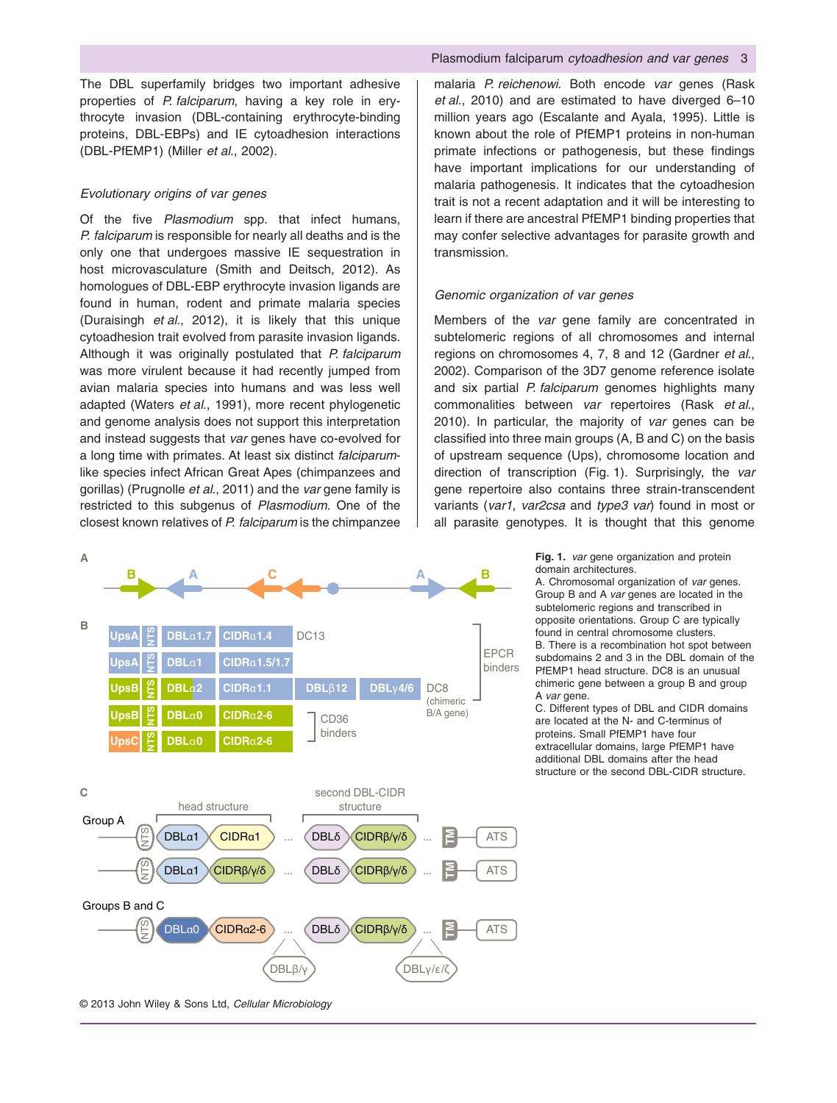The DBL superfamily bridges two important adhesive properties of *P. falciparum*, having a key role in erythrocyte invasion (DBL-containing erythrocyte-binding proteins, DBL-EBPs) and IE cytoadhesion interactions (DBL-PfEMP1) (Miller *et al*., 2002).

#### *Evolutionary origins of var genes*

Of the five *Plasmodium* spp. that infect humans, *P. falciparum* is responsible for nearly all deaths and is the only one that undergoes massive IE sequestration in host microvasculature (Smith and Deitsch, 2012). As homologues of DBL-EBP erythrocyte invasion ligands are found in human, rodent and primate malaria species (Duraisingh *et al*., 2012), it is likely that this unique cytoadhesion trait evolved from parasite invasion ligands. Although it was originally postulated that *P. falciparum* was more virulent because it had recently jumped from avian malaria species into humans and was less well adapted (Waters *et al*., 1991), more recent phylogenetic and genome analysis does not support this interpretation and instead suggests that *var* genes have co-evolved for a long time with primates. At least six distinct *falciparum*like species infect African Great Apes (chimpanzees and gorillas) (Prugnolle *et al*., 2011) and the *var* gene family is restricted to this subgenus of *Plasmodium*. One of the closest known relatives of *P. falciparum* is the chimpanzee



#### Plasmodium falciparum *cytoadhesion and var genes* 3

malaria *P. reichenowi*. Both encode *var* genes (Rask *et al*., 2010) and are estimated to have diverged 6–10 million years ago (Escalante and Ayala, 1995). Little is known about the role of PfEMP1 proteins in non-human primate infections or pathogenesis, but these findings have important implications for our understanding of malaria pathogenesis. It indicates that the cytoadhesion trait is not a recent adaptation and it will be interesting to learn if there are ancestral PfEMP1 binding properties that may confer selective advantages for parasite growth and transmission.

#### *Genomic organization of var genes*

Members of the *var* gene family are concentrated in subtelomeric regions of all chromosomes and internal regions on chromosomes 4, 7, 8 and 12 (Gardner *et al*., 2002). Comparison of the 3D7 genome reference isolate and six partial *P. falciparum* genomes highlights many commonalities between *var* repertoires (Rask *et al*., 2010). In particular, the majority of *var* genes can be classified into three main groups (A, B and C) on the basis of upstream sequence (Ups), chromosome location and direction of transcription (Fig. 1). Surprisingly, the *var* gene repertoire also contains three strain-transcendent variants (*var1*, *var2csa* and *type3 var*) found in most or all parasite genotypes. It is thought that this genome

> **Fig. 1.** *var* gene organization and protein domain architectures.

A. Chromosomal organization of *var* genes. Group B and A *var* genes are located in the subtelomeric regions and transcribed in opposite orientations. Group C are typically found in central chromosome clusters. B. There is a recombination hot spot between subdomains 2 and 3 in the DBL domain of the PfEMP1 head structure. DC8 is an unusual chimeric gene between a group B and group A *var* gene.

C. Different types of DBL and CIDR domains are located at the N- and C-terminus of proteins. Small PfEMP1 have four extracellular domains, large PfEMP1 have additional DBL domains after the head structure or the second DBL-CIDR structure.

© 2013 John Wiley & Sons Ltd, *Cellular Microbiology*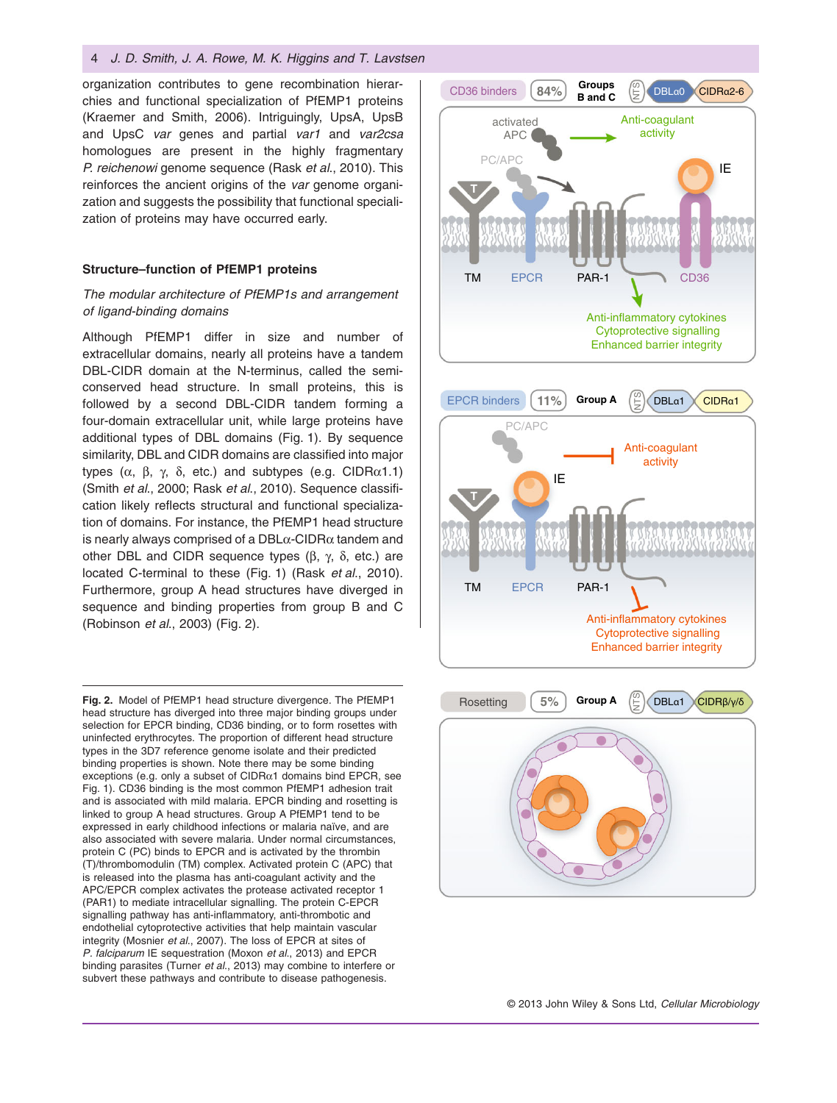#### 4 *J. D. Smith, J. A. Rowe, M. K. Higgins and T. Lavstsen*

organization contributes to gene recombination hierarchies and functional specialization of PfEMP1 proteins (Kraemer and Smith, 2006). Intriguingly, UpsA, UpsB and UpsC *var* genes and partial *var1* and *var2csa* homologues are present in the highly fragmentary *P. reichenowi* genome sequence (Rask *et al*., 2010). This reinforces the ancient origins of the *var* genome organization and suggests the possibility that functional specialization of proteins may have occurred early.

#### **Structure–function of PfEMP1 proteins**

## *The modular architecture of PfEMP1s and arrangement of ligand-binding domains*

Although PfEMP1 differ in size and number of extracellular domains, nearly all proteins have a tandem DBL-CIDR domain at the N-terminus, called the semiconserved head structure. In small proteins, this is followed by a second DBL-CIDR tandem forming a four-domain extracellular unit, while large proteins have additional types of DBL domains (Fig. 1). By sequence similarity, DBL and CIDR domains are classified into major types (α, β, γ, δ, etc.) and subtypes (e.g. CIDRα1.1) (Smith *et al*., 2000; Rask *et al*., 2010). Sequence classification likely reflects structural and functional specialization of domains. For instance, the PfEMP1 head structure is nearly always comprised of a DBL $\alpha$ -CIDR $\alpha$  tandem and other DBL and CIDR sequence types (β, γ, δ, etc.) are located C-terminal to these (Fig. 1) (Rask *et al*., 2010). Furthermore, group A head structures have diverged in sequence and binding properties from group B and C (Robinson *et al*., 2003) (Fig. 2).

**Fig. 2.** Model of PfEMP1 head structure divergence. The PfEMP1 head structure has diverged into three major binding groups under selection for EPCR binding, CD36 binding, or to form rosettes with uninfected erythrocytes. The proportion of different head structure types in the 3D7 reference genome isolate and their predicted binding properties is shown. Note there may be some binding exceptions (e.g. only a subset of  $CIDR<sub>α1</sub>$  domains bind EPCR, see Fig. 1). CD36 binding is the most common PfEMP1 adhesion trait and is associated with mild malaria. EPCR binding and rosetting is linked to group A head structures. Group A PfEMP1 tend to be expressed in early childhood infections or malaria naïve, and are also associated with severe malaria. Under normal circumstances, protein C (PC) binds to EPCR and is activated by the thrombin (T)/thrombomodulin (TM) complex. Activated protein C (APC) that is released into the plasma has anti-coagulant activity and the APC/EPCR complex activates the protease activated receptor 1 (PAR1) to mediate intracellular signalling. The protein C-EPCR signalling pathway has anti-inflammatory, anti-thrombotic and endothelial cytoprotective activities that help maintain vascular integrity (Mosnier *et al*., 2007). The loss of EPCR at sites of *P. falciparum* IE sequestration (Moxon *et al*., 2013) and EPCR binding parasites (Turner *et al*., 2013) may combine to interfere or subvert these pathways and contribute to disease pathogenesis.



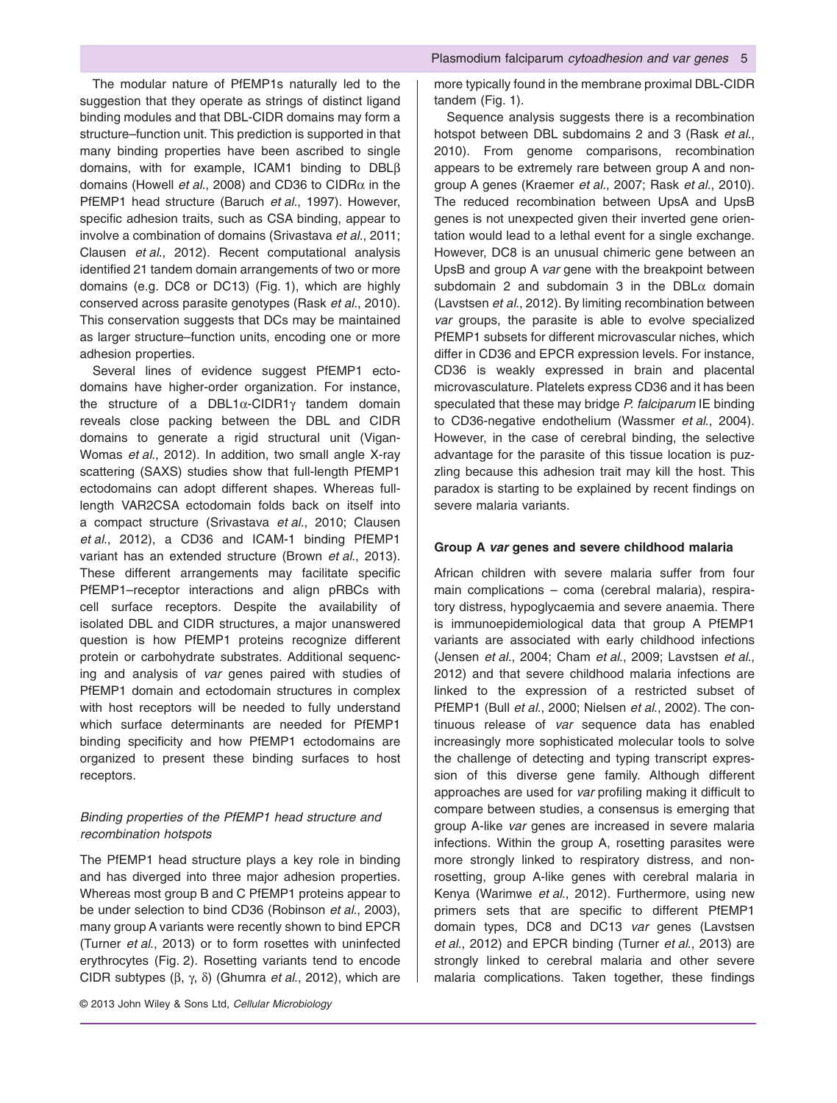The modular nature of PfEMP1s naturally led to the suggestion that they operate as strings of distinct ligand binding modules and that DBL-CIDR domains may form a structure–function unit. This prediction is supported in that many binding properties have been ascribed to single domains, with for example, ICAM1 binding to DBLβ domains (Howell *et al*., 2008) and CD36 to CIDRα in the PfEMP1 head structure (Baruch *et al*., 1997). However, specific adhesion traits, such as CSA binding, appear to involve a combination of domains (Srivastava *et al*., 2011; Clausen *et al*., 2012). Recent computational analysis identified 21 tandem domain arrangements of two or more domains (e.g. DC8 or DC13) (Fig. 1), which are highly conserved across parasite genotypes (Rask *et al*., 2010). This conservation suggests that DCs may be maintained as larger structure–function units, encoding one or more adhesion properties.

Several lines of evidence suggest PfEMP1 ectodomains have higher-order organization. For instance, the structure of a DBL1α-CIDR1γ tandem domain reveals close packing between the DBL and CIDR domains to generate a rigid structural unit (Vigan-Womas *et al*., 2012). In addition, two small angle X-ray scattering (SAXS) studies show that full-length PfEMP1 ectodomains can adopt different shapes. Whereas fulllength VAR2CSA ectodomain folds back on itself into a compact structure (Srivastava *et al*., 2010; Clausen *et al*., 2012), a CD36 and ICAM-1 binding PfEMP1 variant has an extended structure (Brown *et al*., 2013). These different arrangements may facilitate specific PfEMP1–receptor interactions and align pRBCs with cell surface receptors. Despite the availability of isolated DBL and CIDR structures, a major unanswered question is how PfEMP1 proteins recognize different protein or carbohydrate substrates. Additional sequencing and analysis of *var* genes paired with studies of PfEMP1 domain and ectodomain structures in complex with host receptors will be needed to fully understand which surface determinants are needed for PfEMP1 binding specificity and how PfEMP1 ectodomains are organized to present these binding surfaces to host receptors.

# *Binding properties of the PfEMP1 head structure and recombination hotspots*

The PfEMP1 head structure plays a key role in binding and has diverged into three major adhesion properties. Whereas most group B and C PfEMP1 proteins appear to be under selection to bind CD36 (Robinson *et al*., 2003), many group A variants were recently shown to bind EPCR (Turner *et al*., 2013) or to form rosettes with uninfected erythrocytes (Fig. 2). Rosetting variants tend to encode CIDR subtypes (β, γ, δ) (Ghumra *et al*., 2012), which are

more typically found in the membrane proximal DBL-CIDR tandem (Fig. 1).

Sequence analysis suggests there is a recombination hotspot between DBL subdomains 2 and 3 (Rask *et al*., 2010). From genome comparisons, recombination appears to be extremely rare between group A and nongroup A genes (Kraemer *et al*., 2007; Rask *et al*., 2010). The reduced recombination between UpsA and UpsB genes is not unexpected given their inverted gene orientation would lead to a lethal event for a single exchange. However, DC8 is an unusual chimeric gene between an UpsB and group A *var* gene with the breakpoint between subdomain 2 and subdomain 3 in the  $DBL\alpha$  domain (Lavstsen *et al*., 2012). By limiting recombination between *var* groups, the parasite is able to evolve specialized PfEMP1 subsets for different microvascular niches, which differ in CD36 and EPCR expression levels. For instance, CD36 is weakly expressed in brain and placental microvasculature. Platelets express CD36 and it has been speculated that these may bridge *P. falciparum* IE binding to CD36-negative endothelium (Wassmer *et al*., 2004). However, in the case of cerebral binding, the selective advantage for the parasite of this tissue location is puzzling because this adhesion trait may kill the host. This paradox is starting to be explained by recent findings on severe malaria variants.

#### **Group A** *var* **genes and severe childhood malaria**

African children with severe malaria suffer from four main complications – coma (cerebral malaria), respiratory distress, hypoglycaemia and severe anaemia. There is immunoepidemiological data that group A PfEMP1 variants are associated with early childhood infections (Jensen *et al*., 2004; Cham *et al*., 2009; Lavstsen *et al*., 2012) and that severe childhood malaria infections are linked to the expression of a restricted subset of PfEMP1 (Bull *et al*., 2000; Nielsen *et al*., 2002). The continuous release of *var* sequence data has enabled increasingly more sophisticated molecular tools to solve the challenge of detecting and typing transcript expression of this diverse gene family. Although different approaches are used for *var* profiling making it difficult to compare between studies, a consensus is emerging that group A-like *var* genes are increased in severe malaria infections. Within the group A, rosetting parasites were more strongly linked to respiratory distress, and nonrosetting, group A-like genes with cerebral malaria in Kenya (Warimwe *et al*., 2012). Furthermore, using new primers sets that are specific to different PfEMP1 domain types, DC8 and DC13 *var* genes (Lavstsen *et al*., 2012) and EPCR binding (Turner *et al*., 2013) are strongly linked to cerebral malaria and other severe malaria complications. Taken together, these findings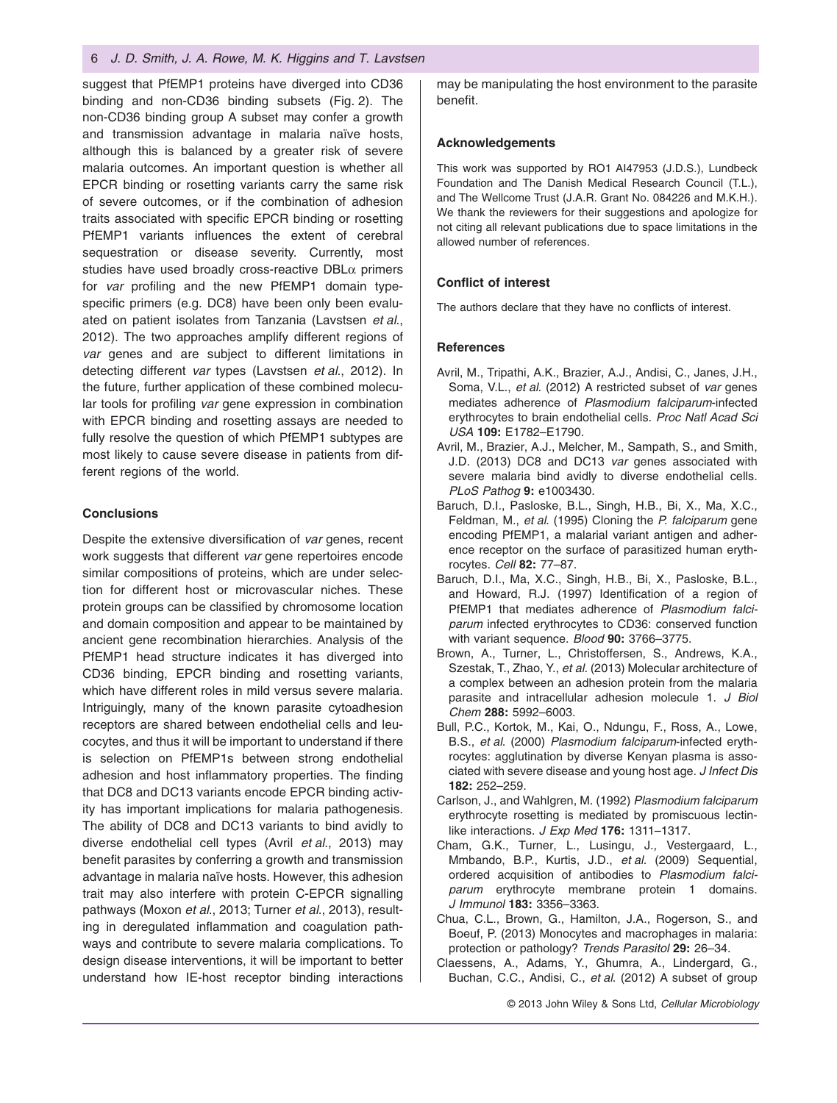#### 6 *J. D. Smith, J. A. Rowe, M. K. Higgins and T. Lavstsen*

suggest that PfEMP1 proteins have diverged into CD36 binding and non-CD36 binding subsets (Fig. 2). The non-CD36 binding group A subset may confer a growth and transmission advantage in malaria naïve hosts, although this is balanced by a greater risk of severe malaria outcomes. An important question is whether all EPCR binding or rosetting variants carry the same risk of severe outcomes, or if the combination of adhesion traits associated with specific EPCR binding or rosetting PfEMP1 variants influences the extent of cerebral sequestration or disease severity. Currently, most studies have used broadly cross-reactive DBLα primers for *var* profiling and the new PfEMP1 domain typespecific primers (e.g. DC8) have been only been evaluated on patient isolates from Tanzania (Lavstsen *et al*., 2012). The two approaches amplify different regions of *var* genes and are subject to different limitations in detecting different *var* types (Lavstsen *et al*., 2012). In the future, further application of these combined molecular tools for profiling *var* gene expression in combination with EPCR binding and rosetting assays are needed to fully resolve the question of which PfEMP1 subtypes are most likely to cause severe disease in patients from different regions of the world.

#### **Conclusions**

Despite the extensive diversification of *var* genes, recent work suggests that different *var* gene repertoires encode similar compositions of proteins, which are under selection for different host or microvascular niches. These protein groups can be classified by chromosome location and domain composition and appear to be maintained by ancient gene recombination hierarchies. Analysis of the PfEMP1 head structure indicates it has diverged into CD36 binding, EPCR binding and rosetting variants, which have different roles in mild versus severe malaria. Intriguingly, many of the known parasite cytoadhesion receptors are shared between endothelial cells and leucocytes, and thus it will be important to understand if there is selection on PfEMP1s between strong endothelial adhesion and host inflammatory properties. The finding that DC8 and DC13 variants encode EPCR binding activity has important implications for malaria pathogenesis. The ability of DC8 and DC13 variants to bind avidly to diverse endothelial cell types (Avril *et al*., 2013) may benefit parasites by conferring a growth and transmission advantage in malaria naïve hosts. However, this adhesion trait may also interfere with protein C-EPCR signalling pathways (Moxon *et al*., 2013; Turner *et al*., 2013), resulting in deregulated inflammation and coagulation pathways and contribute to severe malaria complications. To design disease interventions, it will be important to better understand how IE-host receptor binding interactions

may be manipulating the host environment to the parasite benefit.

#### **Acknowledgements**

This work was supported by RO1 AI47953 (J.D.S.), Lundbeck Foundation and The Danish Medical Research Council (T.L.), and The Wellcome Trust (J.A.R. Grant No. 084226 and M.K.H.). We thank the reviewers for their suggestions and apologize for not citing all relevant publications due to space limitations in the allowed number of references.

#### **Conflict of interest**

The authors declare that they have no conflicts of interest.

#### **References**

- Avril, M., Tripathi, A.K., Brazier, A.J., Andisi, C., Janes, J.H., Soma, V.L., *et al*. (2012) A restricted subset of *var* genes mediates adherence of *Plasmodium falciparum*-infected erythrocytes to brain endothelial cells. *Proc Natl Acad Sci USA* **109:** E1782–E1790.
- Avril, M., Brazier, A.J., Melcher, M., Sampath, S., and Smith, J.D. (2013) DC8 and DC13 *var* genes associated with severe malaria bind avidly to diverse endothelial cells. *PLoS Pathog* **9:** e1003430.
- Baruch, D.I., Pasloske, B.L., Singh, H.B., Bi, X., Ma, X.C., Feldman, M., *et al*. (1995) Cloning the *P. falciparum* gene encoding PfEMP1, a malarial variant antigen and adherence receptor on the surface of parasitized human erythrocytes. *Cell* **82:** 77–87.
- Baruch, D.I., Ma, X.C., Singh, H.B., Bi, X., Pasloske, B.L., and Howard, R.J. (1997) Identification of a region of PfEMP1 that mediates adherence of *Plasmodium falciparum* infected erythrocytes to CD36: conserved function with variant sequence. *Blood* **90:** 3766–3775.
- Brown, A., Turner, L., Christoffersen, S., Andrews, K.A., Szestak, T., Zhao, Y., *et al*. (2013) Molecular architecture of a complex between an adhesion protein from the malaria parasite and intracellular adhesion molecule 1. *J Biol Chem* **288:** 5992–6003.
- Bull, P.C., Kortok, M., Kai, O., Ndungu, F., Ross, A., Lowe, B.S., *et al*. (2000) *Plasmodium falciparum*-infected erythrocytes: agglutination by diverse Kenyan plasma is associated with severe disease and young host age. *J Infect Dis* **182:** 252–259.
- Carlson, J., and Wahlgren, M. (1992) *Plasmodium falciparum* erythrocyte rosetting is mediated by promiscuous lectinlike interactions. *J Exp Med* **176:** 1311–1317.
- Cham, G.K., Turner, L., Lusingu, J., Vestergaard, L., Mmbando, B.P., Kurtis, J.D., *et al*. (2009) Sequential, ordered acquisition of antibodies to *Plasmodium falciparum* erythrocyte membrane protein 1 domains. *J Immunol* **183:** 3356–3363.
- Chua, C.L., Brown, G., Hamilton, J.A., Rogerson, S., and Boeuf, P. (2013) Monocytes and macrophages in malaria: protection or pathology? *Trends Parasitol* **29:** 26–34.
- Claessens, A., Adams, Y., Ghumra, A., Lindergard, G., Buchan, C.C., Andisi, C., *et al*. (2012) A subset of group

© 2013 John Wiley & Sons Ltd, *Cellular Microbiology*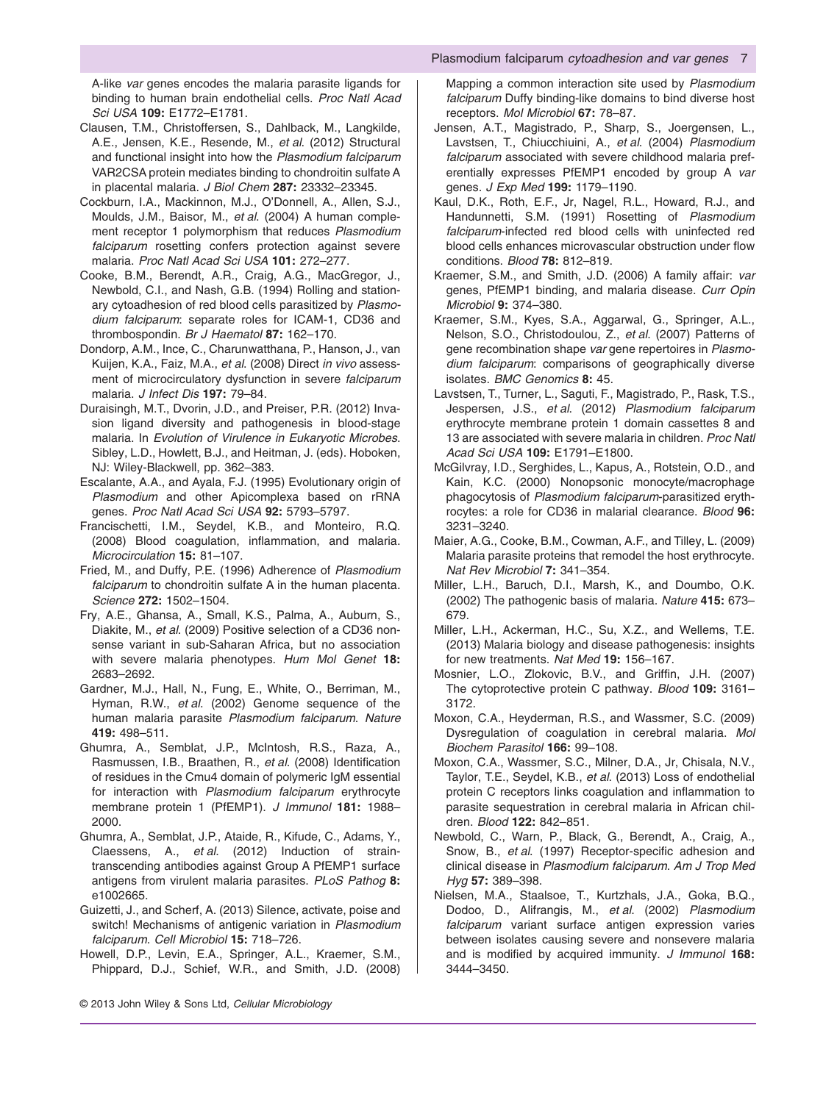A-like *var* genes encodes the malaria parasite ligands for binding to human brain endothelial cells. *Proc Natl Acad Sci USA* **109:** E1772–E1781.

- Clausen, T.M., Christoffersen, S., Dahlback, M., Langkilde, A.E., Jensen, K.E., Resende, M., *et al*. (2012) Structural and functional insight into how the *Plasmodium falciparum* VAR2CSA protein mediates binding to chondroitin sulfate A in placental malaria. *J Biol Chem* **287:** 23332–23345.
- Cockburn, I.A., Mackinnon, M.J., O'Donnell, A., Allen, S.J., Moulds, J.M., Baisor, M., *et al*. (2004) A human complement receptor 1 polymorphism that reduces *Plasmodium falciparum* rosetting confers protection against severe malaria. *Proc Natl Acad Sci USA* **101:** 272–277.
- Cooke, B.M., Berendt, A.R., Craig, A.G., MacGregor, J., Newbold, C.I., and Nash, G.B. (1994) Rolling and stationary cytoadhesion of red blood cells parasitized by *Plasmodium falciparum*: separate roles for ICAM-1, CD36 and thrombospondin. *Br J Haematol* **87:** 162–170.
- Dondorp, A.M., Ince, C., Charunwatthana, P., Hanson, J., van Kuijen, K.A., Faiz, M.A., *et al*. (2008) Direct *in vivo* assessment of microcirculatory dysfunction in severe *falciparum* malaria. *J Infect Dis* **197:** 79–84.
- Duraisingh, M.T., Dvorin, J.D., and Preiser, P.R. (2012) Invasion ligand diversity and pathogenesis in blood-stage malaria. In *Evolution of Virulence in Eukaryotic Microbes*. Sibley, L.D., Howlett, B.J., and Heitman, J. (eds). Hoboken, NJ: Wiley-Blackwell, pp. 362–383.
- Escalante, A.A., and Ayala, F.J. (1995) Evolutionary origin of *Plasmodium* and other Apicomplexa based on rRNA genes. *Proc Natl Acad Sci USA* **92:** 5793–5797.
- Francischetti, I.M., Seydel, K.B., and Monteiro, R.Q. (2008) Blood coagulation, inflammation, and malaria. *Microcirculation* **15:** 81–107.
- Fried, M., and Duffy, P.E. (1996) Adherence of *Plasmodium falciparum* to chondroitin sulfate A in the human placenta. *Science* **272:** 1502–1504.
- Fry, A.E., Ghansa, A., Small, K.S., Palma, A., Auburn, S., Diakite, M., *et al*. (2009) Positive selection of a CD36 nonsense variant in sub-Saharan Africa, but no association with severe malaria phenotypes. *Hum Mol Genet* **18:** 2683–2692.
- Gardner, M.J., Hall, N., Fung, E., White, O., Berriman, M., Hyman, R.W., *et al*. (2002) Genome sequence of the human malaria parasite *Plasmodium falciparum*. *Nature* **419:** 498–511.
- Ghumra, A., Semblat, J.P., McIntosh, R.S., Raza, A., Rasmussen, I.B., Braathen, R., *et al*. (2008) Identification of residues in the Cmu4 domain of polymeric IgM essential for interaction with *Plasmodium falciparum* erythrocyte membrane protein 1 (PfEMP1). *J Immunol* **181:** 1988– 2000.
- Ghumra, A., Semblat, J.P., Ataide, R., Kifude, C., Adams, Y., Claessens, A., *et al*. (2012) Induction of straintranscending antibodies against Group A PfEMP1 surface antigens from virulent malaria parasites. *PLoS Pathog* **8:** e1002665.
- Guizetti, J., and Scherf, A. (2013) Silence, activate, poise and switch! Mechanisms of antigenic variation in *Plasmodium falciparum*. *Cell Microbiol* **15:** 718–726.
- Howell, D.P., Levin, E.A., Springer, A.L., Kraemer, S.M., Phippard, D.J., Schief, W.R., and Smith, J.D. (2008)

Mapping a common interaction site used by *Plasmodium falciparum* Duffy binding-like domains to bind diverse host receptors. *Mol Microbiol* **67:** 78–87.

- Jensen, A.T., Magistrado, P., Sharp, S., Joergensen, L., Lavstsen, T., Chiucchiuini, A., *et al*. (2004) *Plasmodium falciparum* associated with severe childhood malaria preferentially expresses PfEMP1 encoded by group A *var* genes. *J Exp Med* **199:** 1179–1190.
- Kaul, D.K., Roth, E.F., Jr, Nagel, R.L., Howard, R.J., and Handunnetti, S.M. (1991) Rosetting of *Plasmodium falciparum*-infected red blood cells with uninfected red blood cells enhances microvascular obstruction under flow conditions. *Blood* **78:** 812–819.
- Kraemer, S.M., and Smith, J.D. (2006) A family affair: *var* genes, PfEMP1 binding, and malaria disease. *Curr Opin Microbiol* **9:** 374–380.
- Kraemer, S.M., Kyes, S.A., Aggarwal, G., Springer, A.L., Nelson, S.O., Christodoulou, Z., *et al*. (2007) Patterns of gene recombination shape *var* gene repertoires in *Plasmodium falciparum*: comparisons of geographically diverse isolates. *BMC Genomics* **8:** 45.
- Lavstsen, T., Turner, L., Saguti, F., Magistrado, P., Rask, T.S., Jespersen, J.S., *et al*. (2012) *Plasmodium falciparum* erythrocyte membrane protein 1 domain cassettes 8 and 13 are associated with severe malaria in children. *Proc Natl Acad Sci USA* **109:** E1791–E1800.
- McGilvray, I.D., Serghides, L., Kapus, A., Rotstein, O.D., and Kain, K.C. (2000) Nonopsonic monocyte/macrophage phagocytosis of *Plasmodium falciparum*-parasitized erythrocytes: a role for CD36 in malarial clearance. *Blood* **96:** 3231–3240.
- Maier, A.G., Cooke, B.M., Cowman, A.F., and Tilley, L. (2009) Malaria parasite proteins that remodel the host erythrocyte. *Nat Rev Microbiol* **7:** 341–354.
- Miller, L.H., Baruch, D.I., Marsh, K., and Doumbo, O.K. (2002) The pathogenic basis of malaria. *Nature* **415:** 673– 679.
- Miller, L.H., Ackerman, H.C., Su, X.Z., and Wellems, T.E. (2013) Malaria biology and disease pathogenesis: insights for new treatments. *Nat Med* **19:** 156–167.
- Mosnier, L.O., Zlokovic, B.V., and Griffin, J.H. (2007) The cytoprotective protein C pathway. *Blood* **109:** 3161– 3172.
- Moxon, C.A., Heyderman, R.S., and Wassmer, S.C. (2009) Dysregulation of coagulation in cerebral malaria. *Mol Biochem Parasitol* **166:** 99–108.
- Moxon, C.A., Wassmer, S.C., Milner, D.A., Jr, Chisala, N.V., Taylor, T.E., Seydel, K.B., *et al*. (2013) Loss of endothelial protein C receptors links coagulation and inflammation to parasite sequestration in cerebral malaria in African children. *Blood* **122:** 842–851.
- Newbold, C., Warn, P., Black, G., Berendt, A., Craig, A., Snow, B., *et al*. (1997) Receptor-specific adhesion and clinical disease in *Plasmodium falciparum*. *Am J Trop Med Hyg* **57:** 389–398.
- Nielsen, M.A., Staalsoe, T., Kurtzhals, J.A., Goka, B.Q., Dodoo, D., Alifrangis, M., *et al*. (2002) *Plasmodium falciparum* variant surface antigen expression varies between isolates causing severe and nonsevere malaria and is modified by acquired immunity. *J Immunol* **168:** 3444–3450.